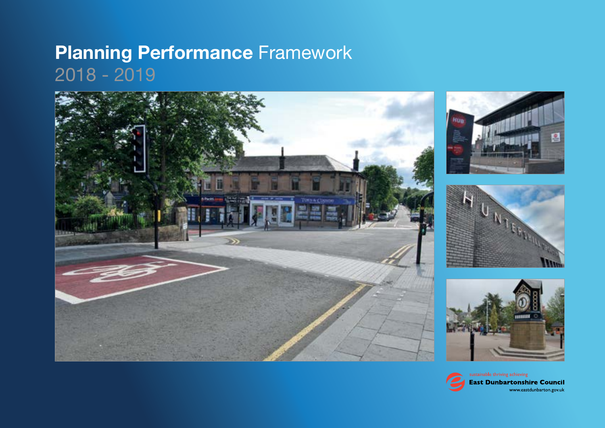## **Planning Performance** Framework 2018 - 2019









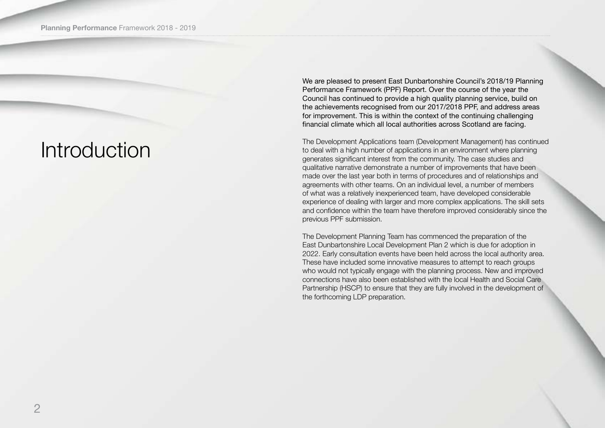## Introduction

We are pleased to present East Dunbartonshire Council's 2018/19 Planning Performance Framework (PPF) Report. Over the course of the year the Council has continued to provide a high quality planning service, build on the achievements recognised from our 2017/2018 PPF, and address areas for improvement. This is within the context of the continuing challenging financial climate which all local authorities across Scotland are facing.

The Development Applications team (Development Management) has continued to deal with a high number of applications in an environment where planning generates significant interest from the community. The case studies and qualitative narrative demonstrate a number of improvements that have been made over the last year both in terms of procedures and of relationships and agreements with other teams. On an individual level, a number of members of what was a relatively inexperienced team, have developed considerable experience of dealing with larger and more complex applications. The skill sets and confidence within the team have therefore improved considerably since the previous PPF submission.

The Development Planning Team has commenced the preparation of the East Dunbartonshire Local Development Plan 2 which is due for adoption in 2022. Early consultation events have been held across the local authority area. These have included some innovative measures to attempt to reach groups who would not typically engage with the planning process. New and improved connections have also been established with the local Health and Social Care Partnership (HSCP) to ensure that they are fully involved in the development of the forthcoming LDP preparation.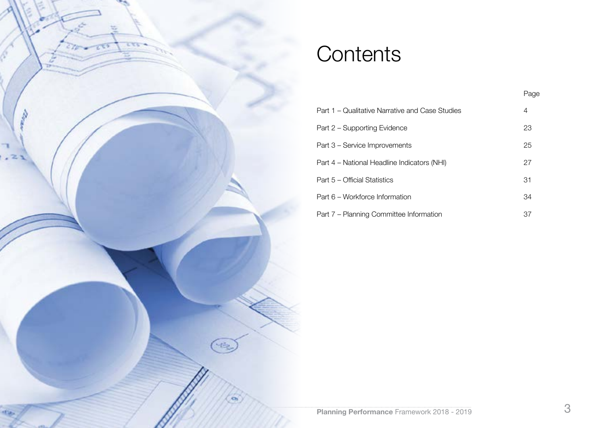

## **Contents**

|                                                 | Page |
|-------------------------------------------------|------|
| Part 1 – Qualitative Narrative and Case Studies | 4    |
| Part 2 - Supporting Evidence                    | 23   |
| Part 3 – Service Improvements                   | 25   |
| Part 4 – National Headline Indicators (NHI)     | 27   |
| Part 5 – Official Statistics                    | 31   |
| Part 6 – Workforce Information                  | 34   |
| Part 7 – Planning Committee Information         | 37   |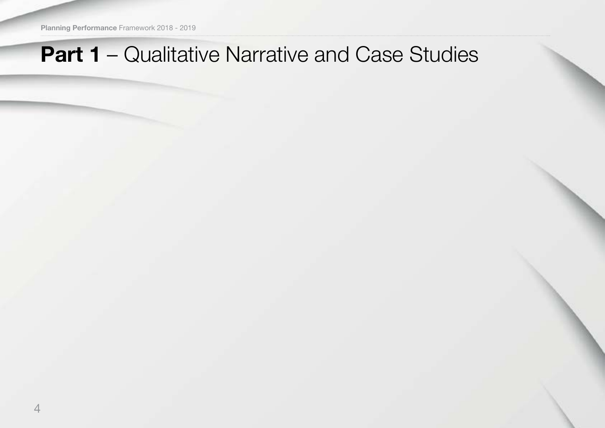**Planning Performance** Framework 2018 - 2019

## **Part 1** – Qualitative Narrative and Case Studies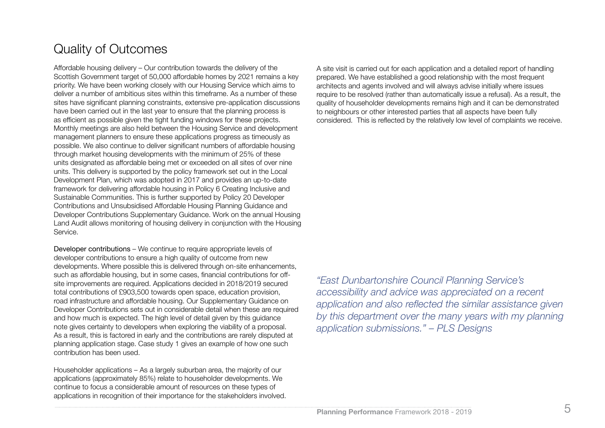## Quality of Outcomes

Affordable housing delivery – Our contribution towards the delivery of the Scottish Government target of 50,000 affordable homes by 2021 remains a key priority. We have been working closely with our Housing Service which aims to deliver a number of ambitious sites within this timeframe. As a number of these sites have significant planning constraints, extensive pre-application discussions have been carried out in the last year to ensure that the planning process is as efficient as possible given the tight funding windows for these projects. Monthly meetings are also held between the Housing Service and development management planners to ensure these applications progress as timeously as possible. We also continue to deliver significant numbers of affordable housing through market housing developments with the minimum of 25% of these units designated as affordable being met or exceeded on all sites of over nine units. This delivery is supported by the policy framework set out in the Local Development Plan, which was adopted in 2017 and provides an up-to-date framework for delivering affordable housing in Policy 6 Creating Inclusive and Sustainable Communities. This is further supported by Policy 20 Developer Contributions and Unsubsidised Affordable Housing Planning Guidance and Developer Contributions Supplementary Guidance. Work on the annual Housing Land Audit allows monitoring of housing delivery in conjunction with the Housing Service.

Developer contributions – We continue to require appropriate levels of developer contributions to ensure a high quality of outcome from new developments. Where possible this is delivered through on-site enhancements, such as affordable housing, but in some cases, financial contributions for offsite improvements are required. Applications decided in 2018/2019 secured total contributions of £903,500 towards open space, education provision, road infrastructure and affordable housing. Our Supplementary Guidance on Developer Contributions sets out in considerable detail when these are required and how much is expected. The high level of detail given by this guidance note gives certainty to developers when exploring the viability of a proposal. As a result, this is factored in early and the contributions are rarely disputed at planning application stage. Case study 1 gives an example of how one such contribution has been used.

Householder applications – As a largely suburban area, the majority of our applications (approximately 85%) relate to householder developments. We continue to focus a considerable amount of resources on these types of applications in recognition of their importance for the stakeholders involved. A site visit is carried out for each application and a detailed report of handling prepared. We have established a good relationship with the most frequent architects and agents involved and will always advise initially where issues require to be resolved (rather than automatically issue a refusal). As a result, the quality of householder developments remains high and it can be demonstrated to neighbours or other interested parties that all aspects have been fully considered. This is reflected by the relatively low level of complaints we receive.

*"East Dunbartonshire Council Planning Service's accessibility and advice was appreciated on a recent application and also reflected the similar assistance given by this department over the many years with my planning application submissions." – PLS Designs*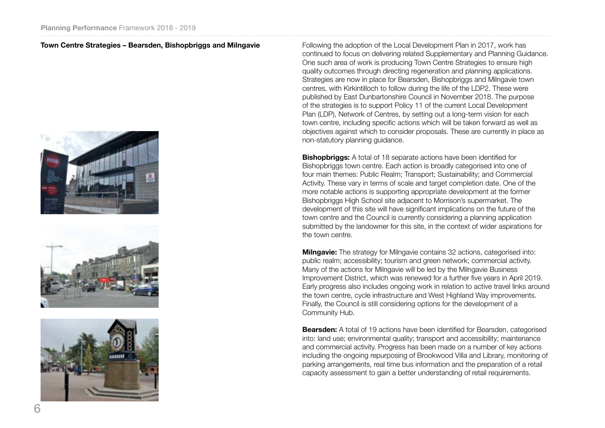#### **Town Centre Strategies – Bearsden, Bishopbriggs and Milngavie**







Following the adoption of the Local Development Plan in 2017, work has continued to focus on delivering related Supplementary and Planning Guidance. One such area of work is producing Town Centre Strategies to ensure high quality outcomes through directing regeneration and planning applications. Strategies are now in place for Bearsden, Bishopbriggs and Milngavie town centres, with Kirkintilloch to follow during the life of the LDP2. These were published by East Dunbartonshire Council in November 2018. The purpose of the strategies is to support Policy 11 of the current Local Development Plan (LDP), Network of Centres, by setting out a long-term vision for each town centre, including specific actions which will be taken forward as well as objectives against which to consider proposals. These are currently in place as non-statutory planning guidance.

**Bishopbriggs:** A total of 18 separate actions have been identified for Bishopbriggs town centre. Each action is broadly categorised into one of four main themes: Public Realm; Transport; Sustainability; and Commercial Activity. These vary in terms of scale and target completion date. One of the more notable actions is supporting appropriate development at the former Bishopbriggs High School site adjacent to Morrison's supermarket. The development of this site will have significant implications on the future of the town centre and the Council is currently considering a planning application submitted by the landowner for this site, in the context of wider aspirations for the town centre.

**Milngavie:** The strategy for Milngavie contains 32 actions, categorised into: public realm; accessibility; tourism and green network; commercial activity. Many of the actions for Milngavie will be led by the Milngavie Business Improvement District, which was renewed for a further five years in April 2019. Early progress also includes ongoing work in relation to active travel links around the town centre, cycle infrastructure and West Highland Way improvements. Finally, the Council is still considering options for the development of a Community Hub.

**Bearsden:** A total of 19 actions have been identified for Bearsden, categorised into: land use; environmental quality; transport and accessibility; maintenance and commercial activity. Progress has been made on a number of key actions including the ongoing repurposing of Brookwood Villa and Library, monitoring of parking arrangements, real time bus information and the preparation of a retail capacity assessment to gain a better understanding of retail requirements.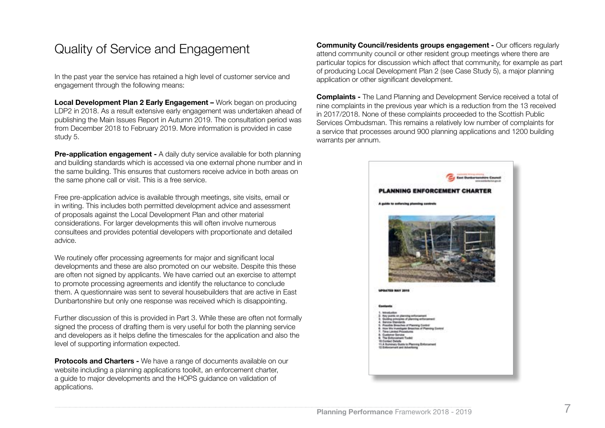### Quality of Service and Engagement

In the past year the service has retained a high level of customer service and engagement through the following means:

**Local Development Plan 2 Early Engagement –** Work began on producing LDP2 in 2018. As a result extensive early engagement was undertaken ahead of publishing the Main Issues Report in Autumn 2019. The consultation period was from December 2018 to February 2019. More information is provided in case study 5.

**Pre-application engagement -** A daily duty service available for both planning and building standards which is accessed via one external phone number and in the same building. This ensures that customers receive advice in both areas on the same phone call or visit. This is a free service.

Free pre-application advice is available through meetings, site visits, email or in writing. This includes both permitted development advice and assessment of proposals against the Local Development Plan and other material considerations. For larger developments this will often involve numerous consultees and provides potential developers with proportionate and detailed advice.

We routinely offer processing agreements for major and significant local developments and these are also promoted on our website. Despite this these are often not signed by applicants. We have carried out an exercise to attempt to promote processing agreements and identify the reluctance to conclude them. A questionnaire was sent to several housebuilders that are active in East Dunbartonshire but only one response was received which is disappointing.

Further discussion of this is provided in Part 3. While these are often not formally signed the process of drafting them is very useful for both the planning service and developers as it helps define the timescales for the application and also the level of supporting information expected.

**Protocols and Charters -** We have a range of documents available on our website including a planning applications toolkit, an enforcement charter, a guide to major developments and the HOPS guidance on validation of applications.

**Community Council/residents groups engagement -** Our officers regularly attend community council or other resident group meetings where there are particular topics for discussion which affect that community, for example as part of producing Local Development Plan 2 (see Case Study 5), a major planning application or other significant development.

**Complaints -** The Land Planning and Development Service received a total of nine complaints in the previous year which is a reduction from the 13 received in 2017/2018. None of these complaints proceeded to the Scottish Public Services Ombudsman. This remains a relatively low number of complaints for a service that processes around 900 planning applications and 1200 building warrants per annum.

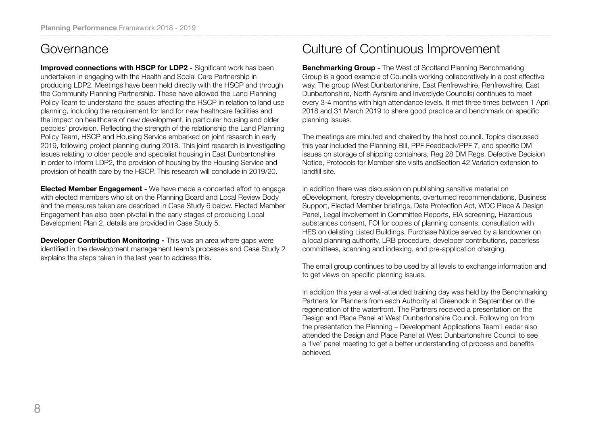### Governance

**Improved connections with HSCP for LDP2 - Significant work has been** undertaken in engaging with the Health and Social Care Partnership in producing LDP2. Meetings have been held directly with the HSCP and through the Community Planning Partnership. These have allowed the Land Planning Policy Team to understand the issues affecting the HSCP in relation to land use planning, including the requirement for land for new healthcare facilities and the impact on healthcare of new development, in particular housing and older peoples' provision. Reflecting the strength of the relationship the Land Planning Policy Team, HSCP and Housing Service embarked on joint research in early 2019, following project planning during 2018. This joint research is investigating issues relating to older people and specialist housing in East Dunbartonshire in order to inform LDP2, the provision of housing by the Housing Service and provision of health care by the HSCP. This research will conclude in 2019/20.

**Elected Member Engagement -** We have made a concerted effort to engage with elected members who sit on the Planning Board and Local Review Body and the measures taken are described in Case Study 6 below. Elected Member Engagement has also been pivotal in the early stages of producing Local Development Plan 2, details are provided in Case Study 5.

**Developer Contribution Monitoring - This was an area where gaps were** identified in the development management team's processes and Case Study 2 explains the steps taken in the last year to address this.

## Culture of Continuous Improvement

**Benchmarking Group -** The West of Scotland Planning Benchmarking Group is a good example of Councils working collaboratively in a cost effective way. The group (West Dunbartonshire, East Renfrewshire, Renfrewshire, East Dunbartonshire, North Ayrshire and Inverclyde Councils) continues to meet every 3-4 months with high attendance levels. It met three times between 1 April 2018 and 31 March 2019 to share good practice and benchmark on specific planning issues.

The meetings are minuted and chaired by the host council. Topics discussed this year included the Planning Bill, PPF Feedback/PPF 7, and specific DM issues on storage of shipping containers, Reg 28 DM Regs, Defective Decision Notice, Protocols for Member site visits andSection 42 Variation extension to landfill site.

In addition there was discussion on publishing sensitive material on eDevelopment, forestry developments, overturned recommendations, Business Support, Elected Member briefings, Data Protection Act, WDC Place & Design Panel, Legal involvement in Committee Reports, EIA screening, Hazardous substances consent, FOI for copies of planning consents, consultation with HES on delisting Listed Buildings, Purchase Notice served by a landowner on a local planning authority, LRB procedure, developer contributions, paperless committees, scanning and indexing, and pre-application charging.

The email group continues to be used by all levels to exchange information and to get views on specific planning issues.

In addition this year a well-attended training day was held by the Benchmarking Partners for Planners from each Authority at Greenock in September on the regeneration of the waterfront. The Partners received a presentation on the Design and Place Panel at West Dunbartonshire Council. Following on from the presentation the Planning – Development Applications Team Leader also attended the Design and Place Panel at West Dunbartonshire Council to see a 'live' panel meeting to get a better understanding of process and benefits achieved.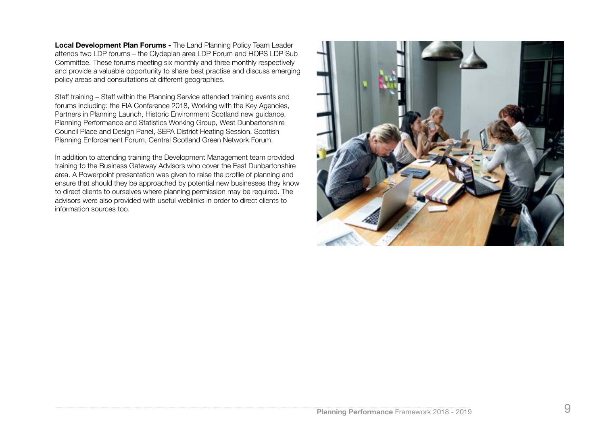**Local Development Plan Forums -** The Land Planning Policy Team Leader attends two LDP forums – the Clydeplan area LDP Forum and HOPS LDP Sub Committee. These forums meeting six monthly and three monthly respectively and provide a valuable opportunity to share best practise and discuss emerging policy areas and consultations at different geographies.

Staff training – Staff within the Planning Service attended training events and forums including: the EIA Conference 2018, Working with the Key Agencies, Partners in Planning Launch, Historic Environment Scotland new guidance, Planning Performance and Statistics Working Group, West Dunbartonshire Council Place and Design Panel, SEPA District Heating Session, Scottish Planning Enforcement Forum, Central Scotland Green Network Forum.

In addition to attending training the Development Management team provided training to the Business Gateway Advisors who cover the East Dunbartonshire area. A Powerpoint presentation was given to raise the profile of planning and ensure that should they be approached by potential new businesses they know to direct clients to ourselves where planning permission may be required. The advisors were also provided with useful weblinks in order to direct clients to information sources too.

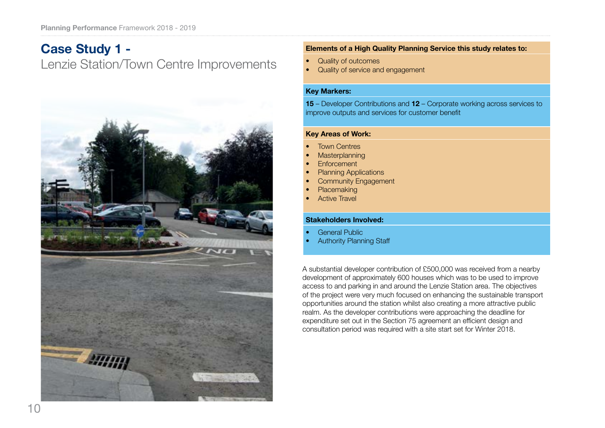## **Case Study 1 -** Lenzie Station/Town Centre Improvements



#### **Elements of a High Quality Planning Service this study relates to:**

- Quality of outcomes
- Quality of service and engagement

#### **Key Markers:**

**15** – Developer Contributions and **12** – Corporate working across services to improve outputs and services for customer benefit

#### **Key Areas of Work:**

- **Town Centres**
- **Masterplanning**
- **Enforcement**
- Planning Applications
- **Community Engagement**
- **Placemaking**
- **Active Travel**

#### **Stakeholders Involved:**

- **General Public**
- **Authority Planning Staff**

A substantial developer contribution of £500,000 was received from a nearby development of approximately 600 houses which was to be used to improve access to and parking in and around the Lenzie Station area. The objectives of the project were very much focused on enhancing the sustainable transport opportunities around the station whilst also creating a more attractive public realm. As the developer contributions were approaching the deadline for expenditure set out in the Section 75 agreement an efficient design and consultation period was required with a site start set for Winter 2018.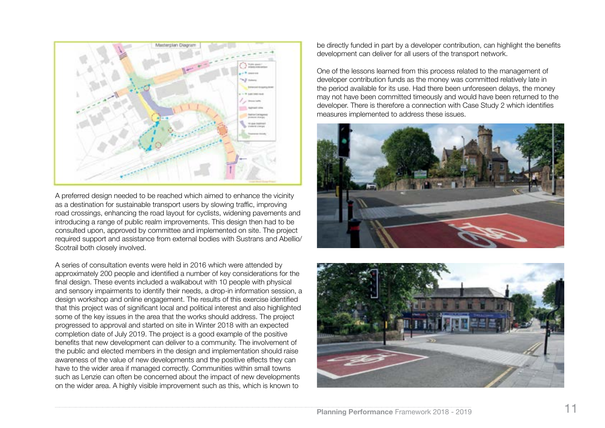

A preferred design needed to be reached which aimed to enhance the vicinity as a destination for sustainable transport users by slowing traffic, improving road crossings, enhancing the road layout for cyclists, widening pavements and introducing a range of public realm improvements. This design then had to be consulted upon, approved by committee and implemented on site. The project required support and assistance from external bodies with Sustrans and Abellio/ Scotrail both closely involved.

A series of consultation events were held in 2016 which were attended by approximately 200 people and identified a number of key considerations for the final design. These events included a walkabout with 10 people with physical and sensory impairments to identify their needs, a drop-in information session, a design workshop and online engagement. The results of this exercise identified that this project was of significant local and political interest and also highlighted some of the key issues in the area that the works should address. The project progressed to approval and started on site in Winter 2018 with an expected completion date of July 2019. The project is a good example of the positive benefits that new development can deliver to a community. The involvement of the public and elected members in the design and implementation should raise awareness of the value of new developments and the positive effects they can have to the wider area if managed correctly. Communities within small towns such as Lenzie can often be concerned about the impact of new developments on the wider area. A highly visible improvement such as this, which is known to

be directly funded in part by a developer contribution, can highlight the benefits development can deliver for all users of the transport network.

One of the lessons learned from this process related to the management of developer contribution funds as the money was committed relatively late in the period available for its use. Had there been unforeseen delays, the money may not have been committed timeously and would have been returned to the developer. There is therefore a connection with Case Study 2 which identifies measures implemented to address these issues.



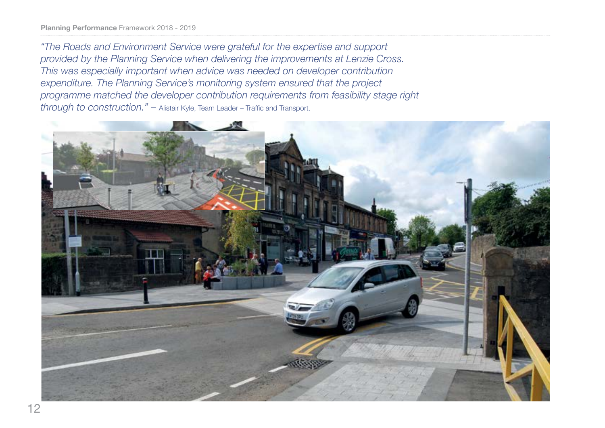*"The Roads and Environment Service were grateful for the expertise and support provided by the Planning Service when delivering the improvements at Lenzie Cross. This was especially important when advice was needed on developer contribution expenditure. The Planning Service's monitoring system ensured that the project programme matched the developer contribution requirements from feasibility stage right through to construction." –* Alistair Kyle, Team Leader – Traffic and Transport.

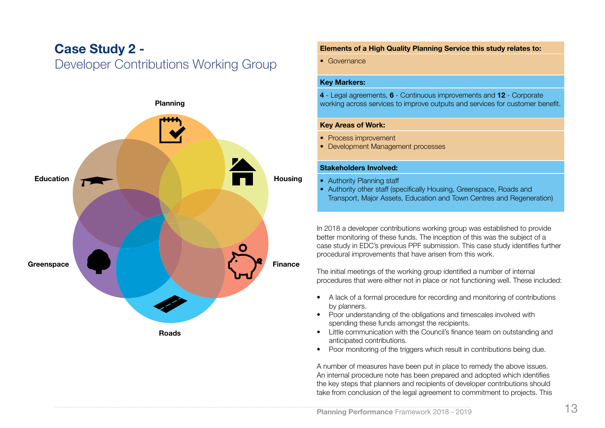### **Case Study 2 -**  Developer Contributions Working Group



**Roads**

#### **Elements of a High Quality Planning Service this study relates to:**

• Governance

#### **Key Markers:**

**4** - Legal agreements, **6** - Continuous improvements and **12** - Corporate working across services to improve outputs and services for customer benefit.

#### **Key Areas of Work:**

- Process improvement
- Development Management processes

#### **Stakeholders Involved:**

- Authority Planning staff
- Authority other staff (specifically Housing, Greenspace, Roads and Transport, Major Assets, Education and Town Centres and Regeneration)

In 2018 a developer contributions working group was established to provide better monitoring of these funds. The inception of this was the subject of a case study in EDC's previous PPF submission. This case study identifies further procedural improvements that have arisen from this work.

The initial meetings of the working group identified a number of internal procedures that were either not in place or not functioning well. These included:

- A lack of a formal procedure for recording and monitoring of contributions by planners.
- Poor understanding of the obligations and timescales involved with spending these funds amongst the recipients.
- Little communication with the Council's finance team on outstanding and anticipated contributions.
- Poor monitoring of the triggers which result in contributions being due.

A number of measures have been put in place to remedy the above issues. An internal procedure note has been prepared and adopted which identifies the key steps that planners and recipients of developer contributions should take from conclusion of the legal agreement to commitment to projects. This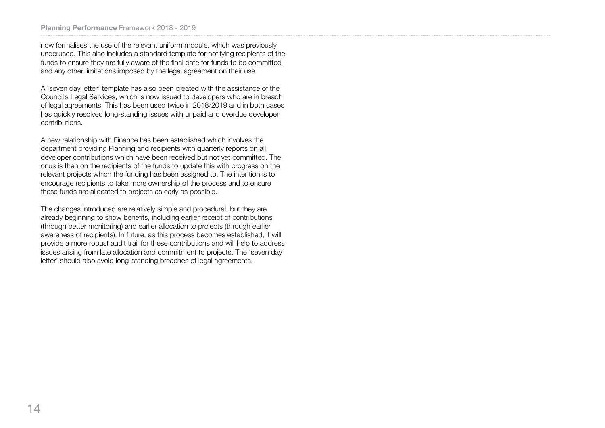now formalises the use of the relevant uniform module, which was previously underused. This also includes a standard template for notifying recipients of the funds to ensure they are fully aware of the final date for funds to be committed and any other limitations imposed by the legal agreement on their use.

A 'seven day letter' template has also been created with the assistance of the Council's Legal Services, which is now issued to developers who are in breach of legal agreements. This has been used twice in 2018/2019 and in both cases has quickly resolved long-standing issues with unpaid and overdue developer contributions.

A new relationship with Finance has been established which involves the department providing Planning and recipients with quarterly reports on all developer contributions which have been received but not yet committed. The onus is then on the recipients of the funds to update this with progress on the relevant projects which the funding has been assigned to. The intention is to encourage recipients to take more ownership of the process and to ensure these funds are allocated to projects as early as possible.

The changes introduced are relatively simple and procedural, but they are already beginning to show benefits, including earlier receipt of contributions (through better monitoring) and earlier allocation to projects (through earlier awareness of recipients). In future, as this process becomes established, it will provide a more robust audit trail for these contributions and will help to address issues arising from late allocation and commitment to projects. The 'seven day letter' should also avoid long-standing breaches of legal agreements.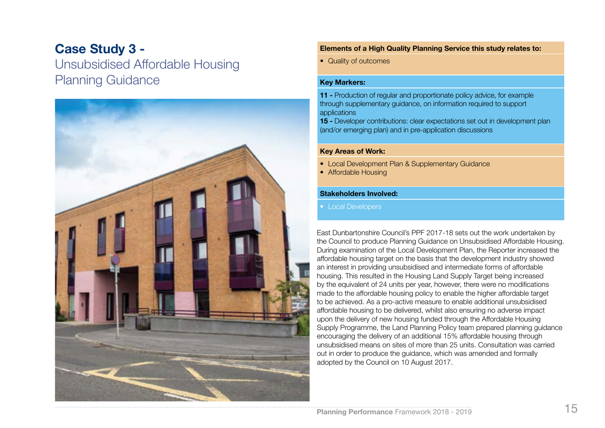### **Case Study 3 -**

Unsubsidised Affordable Housing Planning Guidance



#### **Elements of a High Quality Planning Service this study relates to:**

• Quality of outcomes

#### **Key Markers:**

**11 -** Production of regular and proportionate policy advice, for example through supplementary guidance, on information required to support applications

**15 -** Developer contributions: clear expectations set out in development plan (and/or emerging plan) and in pre-application discussions

#### **Key Areas of Work:**

- Local Development Plan & Supplementary Guidance
- Affordable Housing

#### **Stakeholders Involved:**

• Local Developers

East Dunbartonshire Council's PPF 2017-18 sets out the work undertaken by the Council to produce Planning Guidance on Unsubsidised Affordable Housing. During examination of the Local Development Plan, the Reporter increased the affordable housing target on the basis that the development industry showed an interest in providing unsubsidised and intermediate forms of affordable housing. This resulted in the Housing Land Supply Target being increased by the equivalent of 24 units per year, however, there were no modifications made to the affordable housing policy to enable the higher affordable target to be achieved. As a pro-active measure to enable additional unsubsidised affordable housing to be delivered, whilst also ensuring no adverse impact upon the delivery of new housing funded through the Affordable Housing Supply Programme, the Land Planning Policy team prepared planning guidance encouraging the delivery of an additional 15% affordable housing through unsubsidised means on sites of more than 25 units. Consultation was carried out in order to produce the guidance, which was amended and formally adopted by the Council on 10 August 2017.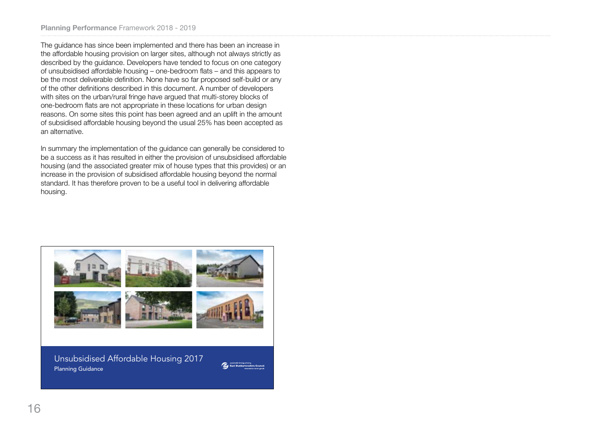The guidance has since been implemented and there has been an increase in the affordable housing provision on larger sites, although not always strictly as described by the guidance. Developers have tended to focus on one category of unsubsidised affordable housing – one-bedroom flats – and this appears to be the most deliverable definition. None have so far proposed self-build or any of the other definitions described in this document. A number of developers with sites on the urban/rural fringe have argued that multi-storey blocks of one-bedroom flats are not appropriate in these locations for urban design reasons. On some sites this point has been agreed and an uplift in the amount of subsidised affordable housing beyond the usual 25% has been accepted as an alternative.

In summary the implementation of the guidance can generally be considered to be a success as it has resulted in either the provision of unsubsidised affordable housing (and the associated greater mix of house types that this provides) or an increase in the provision of subsidised affordable housing beyond the normal standard. It has therefore proven to be a useful tool in delivering affordable housing.

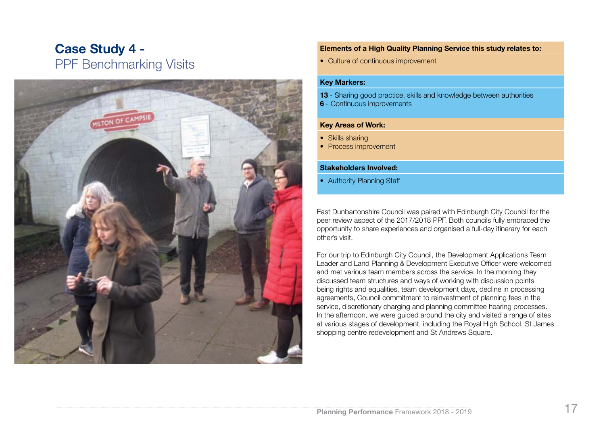## **Case Study 4 -**  PPF Benchmarking Visits



#### **Elements of a High Quality Planning Service this study relates to:**

• Culture of continuous improvement

#### **Key Markers:**

- **13** Sharing good practice, skills and knowledge between authorities
- **6**  Continuous improvements

#### **Key Areas of Work:**

- Skills sharing
- Process improvement

#### **Stakeholders Involved:**

• Authority Planning Staff

East Dunbartonshire Council was paired with Edinburgh City Council for the peer review aspect of the 2017/2018 PPF. Both councils fully embraced the opportunity to share experiences and organised a full-day itinerary for each other's visit.

For our trip to Edinburgh City Council, the Development Applications Team Leader and Land Planning & Development Executive Officer were welcomed and met various team members across the service. In the morning they discussed team structures and ways of working with discussion points being rights and equalities, team development days, decline in processing agreements, Council commitment to reinvestment of planning fees in the service, discretionary charging and planning committee hearing processes. In the afternoon, we were guided around the city and visited a range of sites at various stages of development, including the Royal High School, St James shopping centre redevelopment and St Andrews Square.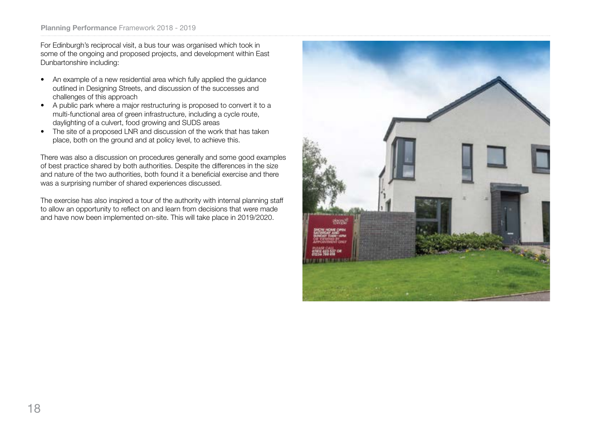For Edinburgh's reciprocal visit, a bus tour was organised which took in some of the ongoing and proposed projects, and development within East Dunbartonshire including:

- An example of a new residential area which fully applied the guidance outlined in Designing Streets, and discussion of the successes and challenges of this approach
- A public park where a major restructuring is proposed to convert it to a multi-functional area of green infrastructure, including a cycle route, daylighting of a culvert, food growing and SUDS areas
- The site of a proposed LNR and discussion of the work that has taken place, both on the ground and at policy level, to achieve this.

There was also a discussion on procedures generally and some good examples of best practice shared by both authorities. Despite the differences in the size and nature of the two authorities, both found it a beneficial exercise and there was a surprising number of shared experiences discussed.

The exercise has also inspired a tour of the authority with internal planning staff to allow an opportunity to reflect on and learn from decisions that were made and have now been implemented on-site. This will take place in 2019/2020.

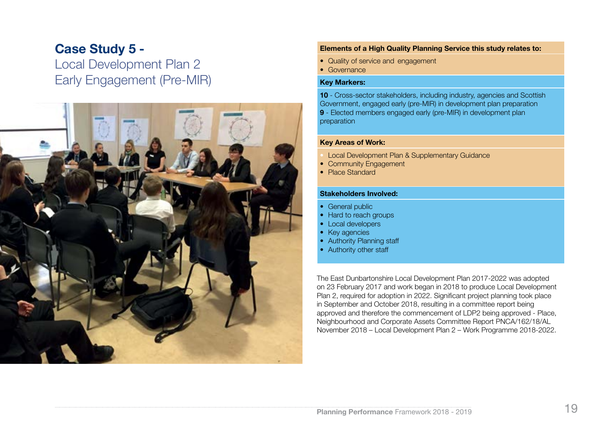### **Case Study 5 -**  Local Development Plan 2 Early Engagement (Pre-MIR)



#### **Elements of a High Quality Planning Service this study relates to:**

- Quality of service and engagement
- Governance

#### **Key Markers:**

**10** - Cross-sector stakeholders, including industry, agencies and Scottish Government, engaged early (pre-MIR) in development plan preparation **9** - Elected members engaged early (pre-MIR) in development plan preparation

#### **Key Areas of Work:**

- Local Development Plan & Supplementary Guidance
- Community Engagement
- Place Standard

#### **Stakeholders Involved:**

- General public
- Hard to reach groups
- Local developers
- Key agencies
- Authority Planning staff
- Authority other staff

The East Dunbartonshire Local Development Plan 2017-2022 was adopted on 23 February 2017 and work began in 2018 to produce Local Development Plan 2, required for adoption in 2022. Significant project planning took place in September and October 2018, resulting in a committee report being approved and therefore the commencement of LDP2 being approved - Place, Neighbourhood and Corporate Assets Committee Report PNCA/162/18/AL November 2018 – Local Development Plan 2 – Work Programme 2018-2022.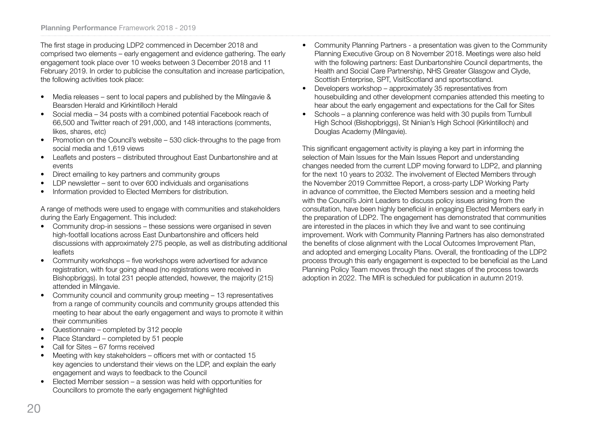The first stage in producing LDP2 commenced in December 2018 and comprised two elements – early engagement and evidence gathering. The early engagement took place over 10 weeks between 3 December 2018 and 11 February 2019. In order to publicise the consultation and increase participation, the following activities took place:

- Media releases sent to local papers and published by the Milngavie & Bearsden Herald and Kirkintilloch Herald
- Social media 34 posts with a combined potential Facebook reach of 66,500 and Twitter reach of 291,000, and 148 interactions (comments, likes, shares, etc)
- Promotion on the Council's website 530 click-throughs to the page from social media and 1,619 views
- Leaflets and posters distributed throughout East Dunbartonshire and at events
- Direct emailing to key partners and community groups
- LDP newsletter sent to over 600 individuals and organisations
- Information provided to Elected Members for distribution.

A range of methods were used to engage with communities and stakeholders during the Early Engagement. This included:

- Community drop-in sessions these sessions were organised in seven high-footfall locations across East Dunbartonshire and officers held discussions with approximately 275 people, as well as distributing additional leaflets
- Community workshops five workshops were advertised for advance registration, with four going ahead (no registrations were received in Bishopbriggs). In total 231 people attended, however, the majority (215) attended in Milngavie.
- Community council and community group meeting 13 representatives from a range of community councils and community groups attended this meeting to hear about the early engagement and ways to promote it within their communities
- Questionnaire completed by 312 people
- Place Standard completed by 51 people
- Call for Sites 67 forms received
- Meeting with key stakeholders officers met with or contacted 15 key agencies to understand their views on the LDP, and explain the early engagement and ways to feedback to the Council
- Elected Member session a session was held with opportunities for Councillors to promote the early engagement highlighted
- Community Planning Partners a presentation was given to the Community Planning Executive Group on 8 November 2018. Meetings were also held with the following partners: East Dunbartonshire Council departments, the Health and Social Care Partnership, NHS Greater Glasgow and Clyde, Scottish Enterprise, SPT, VisitScotland and sportscotland.
- Developers workshop approximately 35 representatives from housebuilding and other development companies attended this meeting to hear about the early engagement and expectations for the Call for Sites
- Schools a planning conference was held with 30 pupils from Turnbull High School (Bishopbriggs), St Ninian's High School (Kirkintilloch) and Douglas Academy (Milngavie).

This significant engagement activity is playing a key part in informing the selection of Main Issues for the Main Issues Report and understanding changes needed from the current LDP moving forward to LDP2, and planning for the next 10 years to 2032. The involvement of Elected Members through the November 2019 Committee Report, a cross-party LDP Working Party in advance of committee, the Elected Members session and a meeting held with the Council's Joint Leaders to discuss policy issues arising from the consultation, have been highly beneficial in engaging Elected Members early in the preparation of LDP2. The engagement has demonstrated that communities are interested in the places in which they live and want to see continuing improvement. Work with Community Planning Partners has also demonstrated the benefits of close alignment with the Local Outcomes Improvement Plan, and adopted and emerging Locality Plans. Overall, the frontloading of the LDP2 process through this early engagement is expected to be beneficial as the Land Planning Policy Team moves through the next stages of the process towards adoption in 2022. The MIR is scheduled for publication in autumn 2019.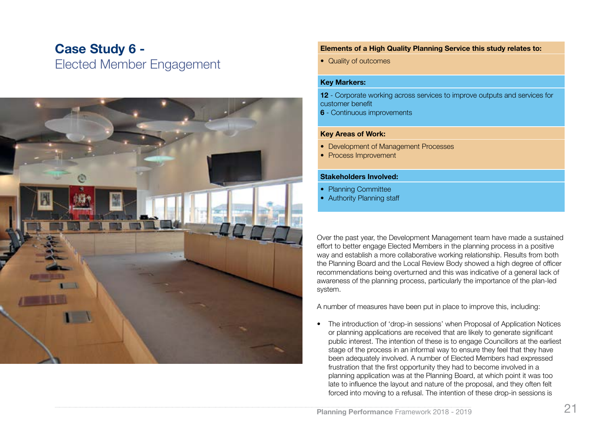### **Case Study 6 -**  Elected Member Engagement



#### **Elements of a High Quality Planning Service this study relates to:**

• Quality of outcomes

#### **Key Markers:**

**12** - Corporate working across services to improve outputs and services for customer benefit

**6** - Continuous improvements

#### **Key Areas of Work:**

- Development of Management Processes
- Process Improvement

#### **Stakeholders Involved:**

- Planning Committee
- Authority Planning staff

Over the past year, the Development Management team have made a sustained effort to better engage Elected Members in the planning process in a positive way and establish a more collaborative working relationship. Results from both the Planning Board and the Local Review Body showed a high degree of officer recommendations being overturned and this was indicative of a general lack of awareness of the planning process, particularly the importance of the plan-led system.

A number of measures have been put in place to improve this, including:

• The introduction of 'drop-in sessions' when Proposal of Application Notices or planning applications are received that are likely to generate significant public interest. The intention of these is to engage Councillors at the earliest stage of the process in an informal way to ensure they feel that they have been adequately involved. A number of Elected Members had expressed frustration that the first opportunity they had to become involved in a planning application was at the Planning Board, at which point it was too late to influence the layout and nature of the proposal, and they often felt forced into moving to a refusal. The intention of these drop-in sessions is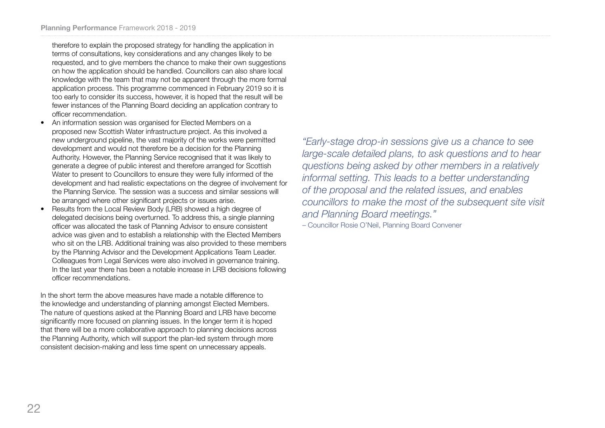therefore to explain the proposed strategy for handling the application in terms of consultations, key considerations and any changes likely to be requested, and to give members the chance to make their own suggestions on how the application should be handled. Councillors can also share local knowledge with the team that may not be apparent through the more formal application process. This programme commenced in February 2019 so it is too early to consider its success, however, it is hoped that the result will be fewer instances of the Planning Board deciding an application contrary to officer recommendation.

- An information session was organised for Elected Members on a proposed new Scottish Water infrastructure project. As this involved a new underground pipeline, the vast majority of the works were permitted development and would not therefore be a decision for the Planning Authority. However, the Planning Service recognised that it was likely to generate a degree of public interest and therefore arranged for Scottish Water to present to Councillors to ensure they were fully informed of the development and had realistic expectations on the degree of involvement for the Planning Service. The session was a success and similar sessions will be arranged where other significant projects or issues arise.
- Results from the Local Review Body (LRB) showed a high degree of delegated decisions being overturned. To address this, a single planning officer was allocated the task of Planning Advisor to ensure consistent advice was given and to establish a relationship with the Elected Members who sit on the LRB. Additional training was also provided to these members by the Planning Advisor and the Development Applications Team Leader. Colleagues from Legal Services were also involved in governance training. In the last year there has been a notable increase in LRB decisions following officer recommendations.

In the short term the above measures have made a notable difference to the knowledge and understanding of planning amongst Elected Members. The nature of questions asked at the Planning Board and LRB have become significantly more focused on planning issues. In the longer term it is hoped that there will be a more collaborative approach to planning decisions across the Planning Authority, which will support the plan-led system through more consistent decision-making and less time spent on unnecessary appeals.

*"Early-stage drop-in sessions give us a chance to see large-scale detailed plans, to ask questions and to hear questions being asked by other members in a relatively informal setting. This leads to a better understanding of the proposal and the related issues, and enables councillors to make the most of the subsequent site visit and Planning Board meetings."*

– Councillor Rosie O'Neil, Planning Board Convener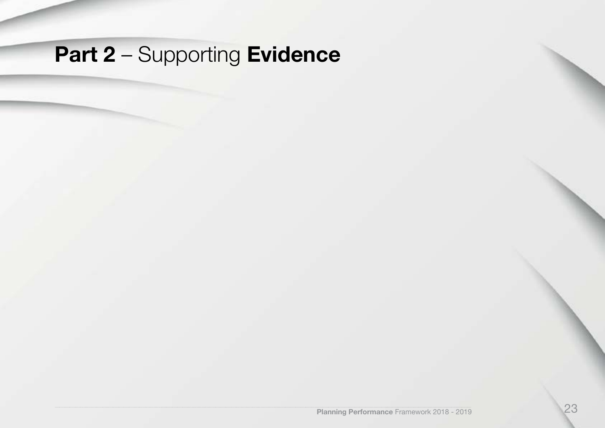## **Part 2** – Supporting **Evidence**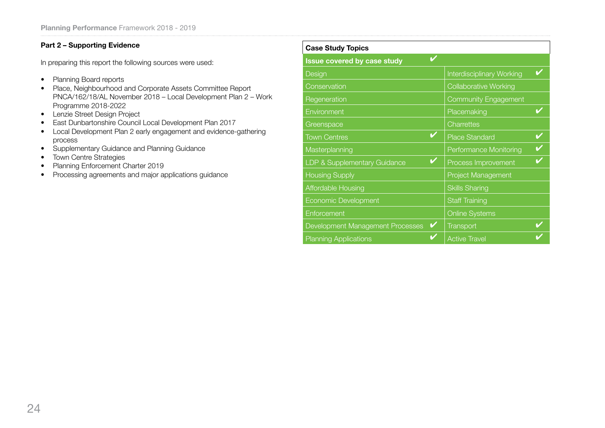#### **Part 2 – Supporting Evidence**

In preparing this report the following sources were used:

- Planning Board reports
- Place, Neighbourhood and Corporate Assets Committee Report PNCA/162/18/AL November 2018 – Local Development Plan 2 – Work Programme 2018-2022
- Lenzie Street Design Project
- East Dunbartonshire Council Local Development Plan 2017
- Local Development Plan 2 early engagement and evidence-gathering process
- Supplementary Guidance and Planning Guidance
- Town Centre Strategies
- Planning Enforcement Charter 2019
- Processing agreements and major applications guidance

| <b>Case Study Topics</b>               |                                  |  |
|----------------------------------------|----------------------------------|--|
| Issue covered by case study            |                                  |  |
| Design                                 | <b>Interdisciplinary Working</b> |  |
| Conservation                           | <b>Collaborative Working</b>     |  |
| Regeneration                           | <b>Community Engagement</b>      |  |
| Environment                            | Placemaking                      |  |
| Greenspace                             | Charrettes                       |  |
| <b>Town Centres</b>                    | <b>Place Standard</b>            |  |
| Masterplanning                         | Performance Monitoring           |  |
| $\sim$<br>LDP & Supplementary Guidance | Process Improvement              |  |
| <b>Housing Supply</b>                  | <b>Project Management</b>        |  |
| <b>Affordable Housing</b>              | <b>Skills Sharing</b>            |  |
| Economic Development                   | <b>Staff Training</b>            |  |
| Enforcement                            | <b>Online Systems</b>            |  |
| V<br>Development Management Processes  | <b>Transport</b>                 |  |
| <b>Planning Applications</b>           | <b>Active Travel</b>             |  |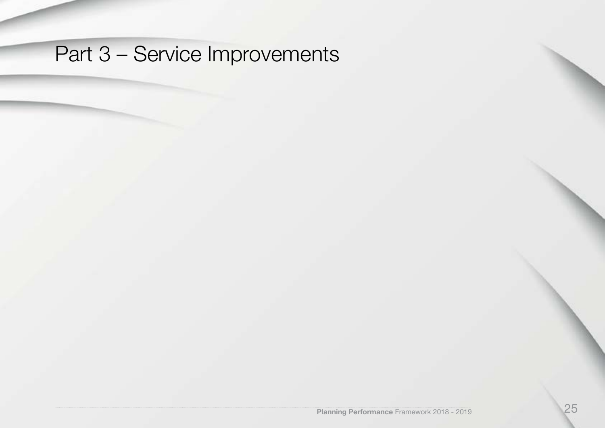# Part 3 – Service Improvements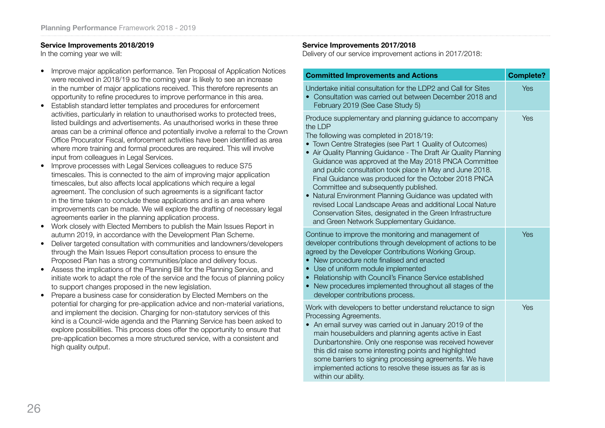#### **Service Improvements 2018/2019**

In the coming year we will:

- Improve major application performance. Ten Proposal of Application Notices were received in 2018/19 so the coming year is likely to see an increase in the number of major applications received. This therefore represents an opportunity to refine procedures to improve performance in this area.
- Establish standard letter templates and procedures for enforcement activities, particularly in relation to unauthorised works to protected trees, listed buildings and advertisements. As unauthorised works in these three areas can be a criminal offence and potentially involve a referral to the Crown Office Procurator Fiscal, enforcement activities have been identified as area where more training and formal procedures are required. This will involve input from colleagues in Legal Services.
- Improve processes with Legal Services colleagues to reduce S75 timescales. This is connected to the aim of improving major application timescales, but also affects local applications which require a legal agreement. The conclusion of such agreements is a significant factor in the time taken to conclude these applications and is an area where improvements can be made. We will explore the drafting of necessary legal agreements earlier in the planning application process.
- Work closely with Elected Members to publish the Main Issues Report in autumn 2019, in accordance with the Development Plan Scheme.
- Deliver targeted consultation with communities and landowners/developers through the Main Issues Report consultation process to ensure the Proposed Plan has a strong communities/place and delivery focus.
- Assess the implications of the Planning Bill for the Planning Service, and initiate work to adapt the role of the service and the focus of planning policy to support changes proposed in the new legislation.
- Prepare a business case for consideration by Elected Members on the potential for charging for pre-application advice and non-material variations, and implement the decision. Charging for non-statutory services of this kind is a Council-wide agenda and the Planning Service has been asked to explore possibilities. This process does offer the opportunity to ensure that pre-application becomes a more structured service, with a consistent and high quality output.

#### **Service Improvements 2017/2018**

Delivery of our service improvement actions in 2017/2018:

| <b>Committed Improvements and Actions</b>                                                                                                                                                                                                                                                                                                                                                                                                                                                                                                                                                                                                                                                               | <b>Complete?</b> |
|---------------------------------------------------------------------------------------------------------------------------------------------------------------------------------------------------------------------------------------------------------------------------------------------------------------------------------------------------------------------------------------------------------------------------------------------------------------------------------------------------------------------------------------------------------------------------------------------------------------------------------------------------------------------------------------------------------|------------------|
| Undertake initial consultation for the LDP2 and Call for Sites<br>Consultation was carried out between December 2018 and<br>February 2019 (See Case Study 5)                                                                                                                                                                                                                                                                                                                                                                                                                                                                                                                                            | Yes              |
| Produce supplementary and planning guidance to accompany<br>the LDP<br>The following was completed in 2018/19:<br>• Town Centre Strategies (see Part 1 Quality of Outcomes)<br>• Air Quality Planning Guidance - The Draft Air Quality Planning<br>Guidance was approved at the May 2018 PNCA Committee<br>and public consultation took place in May and June 2018.<br>Final Guidance was produced for the October 2018 PNCA<br>Committee and subsequently published.<br>Natural Environment Planning Guidance was updated with<br>revised Local Landscape Areas and additional Local Nature<br>Conservation Sites, designated in the Green Infrastructure<br>and Green Network Supplementary Guidance. | Yes              |
| Continue to improve the monitoring and management of<br>developer contributions through development of actions to be<br>agreed by the Developer Contributions Working Group.<br>New procedure note finalised and enacted<br>Use of uniform module implemented<br>Relationship with Council's Finance Service established<br>$\bullet$<br>New procedures implemented throughout all stages of the<br>$\bullet$<br>developer contributions process.                                                                                                                                                                                                                                                       | Yes              |
| Work with developers to better understand reluctance to sign<br>Processing Agreements.<br>An email survey was carried out in January 2019 of the<br>main housebuilders and planning agents active in East<br>Dunbartonshire. Only one response was received however<br>this did raise some interesting points and highlighted<br>some barriers to signing processing agreements. We have<br>implemented actions to resolve these issues as far as is<br>within our ability.                                                                                                                                                                                                                             | Yes              |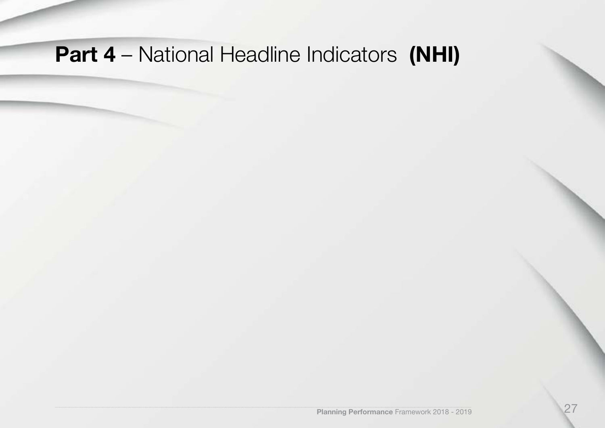# **Part 4** – National Headline Indicators **(NHI)**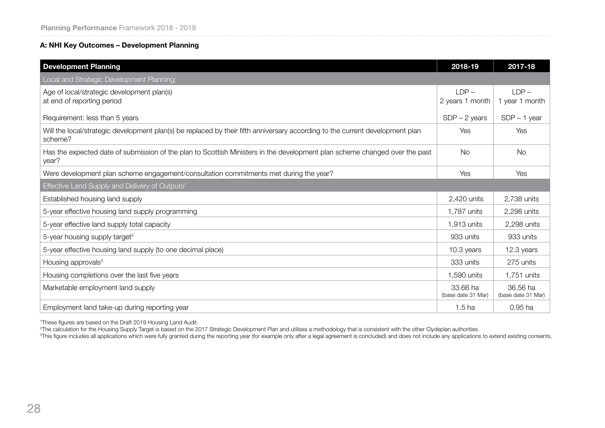#### **A: NHI Key Outcomes – Development Planning**

| <b>Development Planning</b>                                                                                                              | 2018-19                        | 2017-18                        |
|------------------------------------------------------------------------------------------------------------------------------------------|--------------------------------|--------------------------------|
| Local and Strategic Development Planning:                                                                                                |                                |                                |
| Age of local/strategic development plan(s)<br>at end of reporting period                                                                 | $LDP -$<br>2 years 1 month     | $LDP -$<br>1 year 1 month      |
| Requirement: less than 5 years                                                                                                           | $SDP - 2 \text{ years}$        | $SDP - 1$ year                 |
| Will the local/strategic development plan(s) be replaced by their fifth anniversary according to the current development plan<br>scheme? | Yes                            | Yes                            |
| Has the expected date of submission of the plan to Scottish Ministers in the development plan scheme changed over the past<br>year?      | No.                            | <b>No</b>                      |
| Were development plan scheme engagement/consultation commitments met during the year?                                                    | Yes                            | Yes                            |
| Effective Land Supply and Delivery of Outputs <sup>1</sup>                                                                               |                                |                                |
| Established housing land supply                                                                                                          | 2,420 units                    | 2,738 units                    |
| 5-year effective housing land supply programming                                                                                         | 1,787 units                    | 2,298 units                    |
| 5-year effective land supply total capacity                                                                                              | 1,913 units                    | 2,298 units                    |
| 5-year housing supply target <sup>2</sup>                                                                                                | 933 units                      | 933 units                      |
| 5-year effective housing land supply (to one decimal place)                                                                              | 10.3 years                     | 12.3 years                     |
| Housing approvals <sup>3</sup>                                                                                                           | 333 units                      | 275 units                      |
| Housing completions over the last five years                                                                                             | 1,590 units                    | 1,751 units                    |
| Marketable employment land supply                                                                                                        | 33.66 ha<br>(base date 31 Mar) | 36.56 ha<br>(base date 31 Mar) |
| Employment land take-up during reporting year                                                                                            | 1.5 <sub>ha</sub>              | 0.95 ha                        |

1 These figures are based on the Draft 2019 Housing Land Audit.

<sup>2</sup>The calculation for the Housing Supply Target is based on the 2017 Strategic Development Plan and utilises a methodology that is consistent with the other Clydeplan authorities.<br><sup>3</sup>This figure includes all applications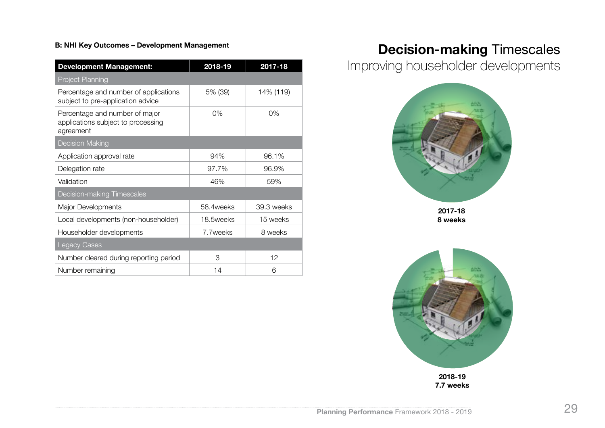#### **B: NHI Key Outcomes – Development Management**

| <b>Development Management:</b>                                                    | 2018-19    | 2017-18    |
|-----------------------------------------------------------------------------------|------------|------------|
| <b>Project Planning</b>                                                           |            |            |
| Percentage and number of applications<br>subject to pre-application advice        | 5% (39)    | 14% (119)  |
| Percentage and number of major<br>applications subject to processing<br>agreement | 0%         | 0%         |
| <b>Decision Making</b>                                                            |            |            |
| Application approval rate                                                         | 94%        | 96.1%      |
| Delegation rate                                                                   | 97.7%      | 96.9%      |
| Validation                                                                        | 46%        | 59%        |
| <b>Decision-making Timescales</b>                                                 |            |            |
| Major Developments                                                                | 58.4 weeks | 39.3 weeks |
| Local developments (non-householder)                                              | 18.5weeks  | 15 weeks   |
| Householder developments                                                          | 7.7 weeks  | 8 weeks    |
| <b>Legacy Cases</b>                                                               |            |            |
| Number cleared during reporting period                                            | 3          | 12         |
| Number remaining                                                                  | 14         | 6          |

### **Decision-making** Timescales

Improving householder developments



**2017-18 8 weeks**

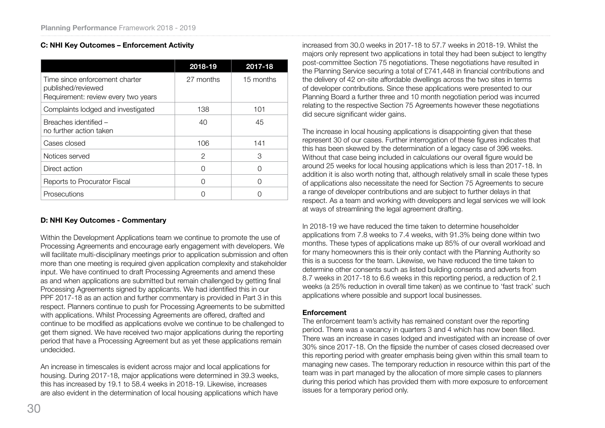#### **C: NHI Key Outcomes – Enforcement Activity**

|                                                                                             | 2018-19       | 2017-18   |
|---------------------------------------------------------------------------------------------|---------------|-----------|
| Time since enforcement charter<br>published/reviewed<br>Requirement: review every two years | 27 months     | 15 months |
| Complaints lodged and investigated                                                          | 138           | 101       |
| Breaches identified -<br>no further action taken                                            | 40            | 45        |
| Cases closed                                                                                | 106           | 141       |
| Notices served                                                                              | $\mathcal{P}$ | З         |
| Direct action                                                                               | ∩             | Ω         |
| Reports to Procurator Fiscal                                                                | ∩             | ( )       |
| Prosecutions                                                                                |               |           |

#### **D: NHI Key Outcomes - Commentary**

Within the Development Applications team we continue to promote the use of Processing Agreements and encourage early engagement with developers. We will facilitate multi-disciplinary meetings prior to application submission and often more than one meeting is required given application complexity and stakeholder input. We have continued to draft Processing Agreements and amend these as and when applications are submitted but remain challenged by getting final Processing Agreements signed by applicants. We had identified this in our PPF 2017-18 as an action and further commentary is provided in Part 3 in this respect. Planners continue to push for Processing Agreements to be submitted with applications. Whilst Processing Agreements are offered, drafted and continue to be modified as applications evolve we continue to be challenged to get them signed. We have received two major applications during the reporting period that have a Processing Agreement but as yet these applications remain undecided.

An increase in timescales is evident across major and local applications for housing. During 2017-18, major applications were determined in 39.3 weeks, this has increased by 19.1 to 58.4 weeks in 2018-19. Likewise, increases are also evident in the determination of local housing applications which have

increased from 30.0 weeks in 2017-18 to 57.7 weeks in 2018-19. Whilst the majors only represent two applications in total they had been subject to lengthy post-committee Section 75 negotiations. These negotiations have resulted in the Planning Service securing a total of £741,448 in financial contributions and the delivery of 42 on-site affordable dwellings across the two sites in terms of developer contributions. Since these applications were presented to our Planning Board a further three and 10 month negotiation period was incurred relating to the respective Section 75 Agreements however these negotiations did secure significant wider gains.

The increase in local housing applications is disappointing given that these represent 30 of our cases. Further interrogation of these figures indicates that this has been skewed by the determination of a legacy case of 396 weeks. Without that case being included in calculations our overall figure would be around 25 weeks for local housing applications which is less than 2017-18. In addition it is also worth noting that, although relatively small in scale these types of applications also necessitate the need for Section 75 Agreements to secure a range of developer contributions and are subject to further delays in that respect. As a team and working with developers and legal services we will look at ways of streamlining the legal agreement drafting.

In 2018-19 we have reduced the time taken to determine householder applications from 7.8 weeks to 7.4 weeks, with 91.3% being done within two months. These types of applications make up 85% of our overall workload and for many homeowners this is their only contact with the Planning Authority so this is a success for the team. Likewise, we have reduced the time taken to determine other consents such as listed building consents and adverts from 8.7 weeks in 2017-18 to 6.6 weeks in this reporting period, a reduction of 2.1 weeks (a 25% reduction in overall time taken) as we continue to 'fast track' such applications where possible and support local businesses.

#### **Enforcement**

The enforcement team's activity has remained constant over the reporting period. There was a vacancy in quarters 3 and 4 which has now been filled. There was an increase in cases lodged and investigated with an increase of over 30% since 2017-18. On the flipside the number of cases closed decreased over this reporting period with greater emphasis being given within this small team to managing new cases. The temporary reduction in resource within this part of the team was in part managed by the allocation of more simple cases to planners during this period which has provided them with more exposure to enforcement issues for a temporary period only.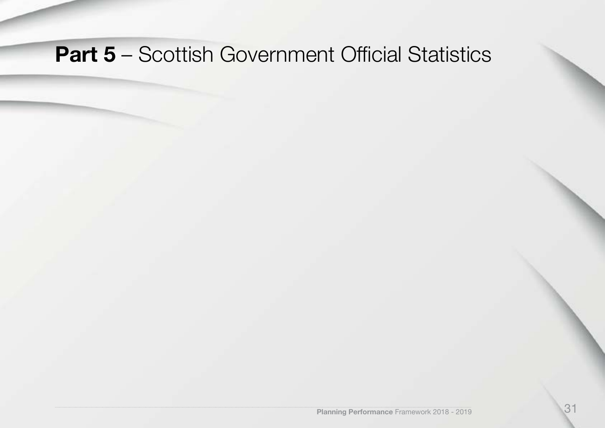## **Part 5** – Scottish Government Official Statistics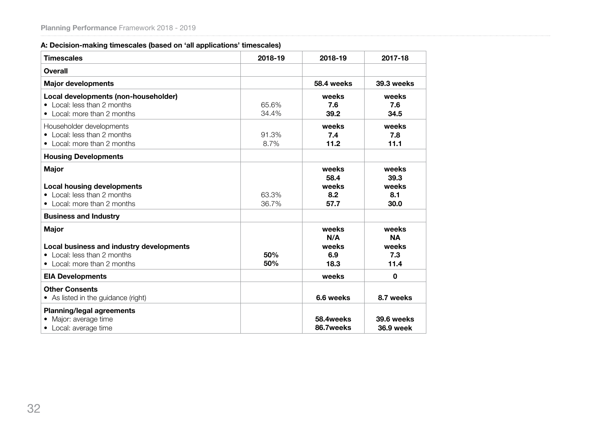#### **A: Decision-making timescales (based on 'all applications' timescales)**

| <b>Timescales</b>                                                                                                      | 2018-19        | 2018-19                               | 2017-18                                    |
|------------------------------------------------------------------------------------------------------------------------|----------------|---------------------------------------|--------------------------------------------|
| <b>Overall</b>                                                                                                         |                |                                       |                                            |
| <b>Major developments</b>                                                                                              |                | 58.4 weeks                            | 39.3 weeks                                 |
| Local developments (non-householder)<br>• Local: less than 2 months<br>• Local: more than 2 months                     | 65.6%<br>34.4% | weeks<br>7.6<br>39.2                  | weeks<br>7.6<br>34.5                       |
| Householder developments<br>• Local: less than 2 months<br>• Local: more than 2 months                                 | 91.3%<br>8.7%  | weeks<br>7.4<br>11.2                  | weeks<br>7.8<br>11.1                       |
| <b>Housing Developments</b>                                                                                            |                |                                       |                                            |
| <b>Major</b><br><b>Local housing developments</b><br>• Local: less than 2 months<br>• Local: more than 2 months        | 63.3%<br>36.7% | weeks<br>58.4<br>weeks<br>8.2<br>57.7 | weeks<br>39.3<br>weeks<br>8.1<br>30.0      |
| <b>Business and Industry</b>                                                                                           |                |                                       |                                            |
| <b>Major</b><br>Local business and industry developments<br>• Local: less than 2 months<br>• Local: more than 2 months | 50%<br>50%     | weeks<br>N/A<br>weeks<br>6.9<br>18.3  | weeks<br><b>NA</b><br>weeks<br>7.3<br>11.4 |
| <b>EIA Developments</b>                                                                                                |                | weeks                                 | $\mathbf 0$                                |
| <b>Other Consents</b><br>• As listed in the guidance (right)                                                           |                | 6.6 weeks                             | 8.7 weeks                                  |
| <b>Planning/legal agreements</b><br>Major: average time<br>Local: average time                                         |                | 58.4weeks<br>86.7weeks                | 39.6 weeks<br><b>36.9 week</b>             |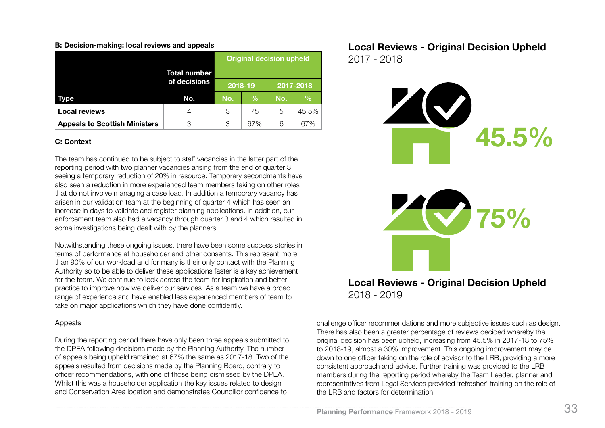#### **B: Decision-making: local reviews and appeals**

|                                      | Total number |         | <b>Original decision upheld</b> |           |               |
|--------------------------------------|--------------|---------|---------------------------------|-----------|---------------|
|                                      | of decisions | 2018-19 |                                 | 2017-2018 |               |
| Type                                 | No.          | No.     | $\frac{9}{6}$                   | No.       | $\frac{0}{0}$ |
| <b>Local reviews</b>                 | 4            | 3       | 75                              | 5         | 45.5%         |
| <b>Appeals to Scottish Ministers</b> | 3            | 3       | 67%                             | 6         | 67%           |

#### **C: Context**

The team has continued to be subject to staff vacancies in the latter part of the reporting period with two planner vacancies arising from the end of quarter 3 seeing a temporary reduction of 20% in resource. Temporary secondments have also seen a reduction in more experienced team members taking on other roles that do not involve managing a case load. In addition a temporary vacancy has arisen in our validation team at the beginning of quarter 4 which has seen an increase in days to validate and register planning applications. In addition, our enforcement team also had a vacancy through quarter 3 and 4 which resulted in some investigations being dealt with by the planners.

Notwithstanding these ongoing issues, there have been some success stories in terms of performance at householder and other consents. This represent more than 90% of our workload and for many is their only contact with the Planning Authority so to be able to deliver these applications faster is a key achievement for the team. We continue to look across the team for inspiration and better practice to improve how we deliver our services. As a team we have a broad range of experience and have enabled less experienced members of team to take on major applications which they have done confidently.

#### Appeals

During the reporting period there have only been three appeals submitted to the DPEA following decisions made by the Planning Authority. The number of appeals being upheld remained at 67% the same as 2017-18. Two of the appeals resulted from decisions made by the Planning Board, contrary to officer recommendations, with one of those being dismissed by the DPEA. Whilst this was a householder application the key issues related to design and Conservation Area location and demonstrates Councillor confidence to

**Local Reviews - Original Decision Upheld** 2017 - 2018



2018 - 2019

challenge officer recommendations and more subjective issues such as design. There has also been a greater percentage of reviews decided whereby the original decision has been upheld, increasing from 45.5% in 2017-18 to 75% to 2018-19, almost a 30% improvement. This ongoing improvement may be down to one officer taking on the role of advisor to the LRB, providing a more consistent approach and advice. Further training was provided to the LRB members during the reporting period whereby the Team Leader, planner and representatives from Legal Services provided 'refresher' training on the role of the LRB and factors for determination.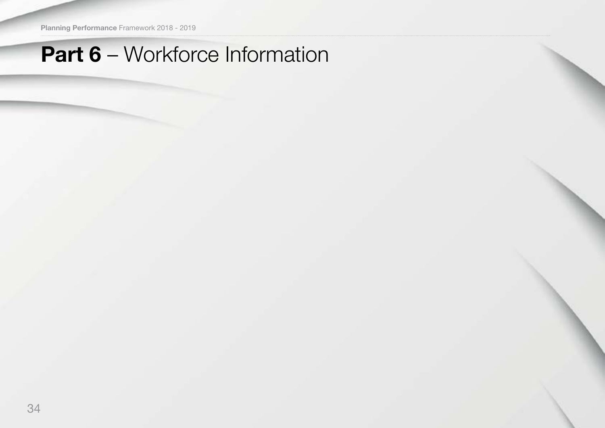**Planning Performance** Framework 2018 - 2019

## **Part 6** – Workforce Information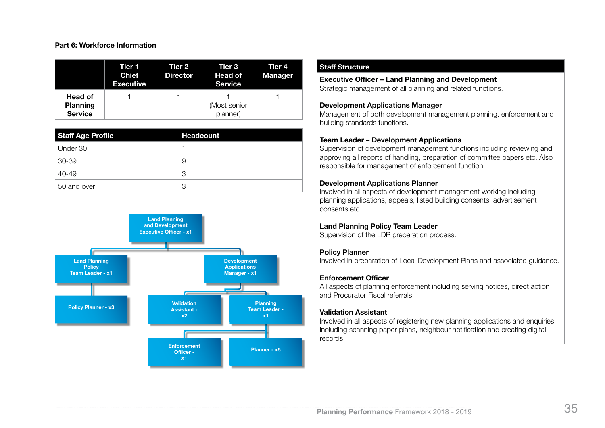#### **Part 6: Workforce Information**

|                                              | Tier 1<br><b>Chief</b><br><b>Executive</b> | Tier 2<br><b>Director</b> | Tier 3<br><b>Head of</b><br><b>Service</b> | Tier 4<br><b>Manager</b> |
|----------------------------------------------|--------------------------------------------|---------------------------|--------------------------------------------|--------------------------|
| Head of<br><b>Planning</b><br><b>Service</b> |                                            |                           | (Most senior<br>planner)                   |                          |

| Staff Age Profile | <b>Headcount</b> |
|-------------------|------------------|
| Under 30          |                  |
| 30-39             | 9                |
| 40-49             | 3                |
| 50 and over       | 3                |



#### **Staff Structure**

### **Executive Officer – Land Planning and Development**

Strategic management of all planning and related functions.

#### **Development Applications Manager**

Management of both development management planning, enforcement and building standards functions.

#### **Team Leader – Development Applications**

Supervision of development management functions including reviewing and approving all reports of handling, preparation of committee papers etc. Also responsible for management of enforcement function.

#### **Development Applications Planner**

Involved in all aspects of development management working including planning applications, appeals, listed building consents, advertisement consents etc.

#### **Land Planning Policy Team Leader**

Supervision of the LDP preparation process.

#### **Policy Planner**

Involved in preparation of Local Development Plans and associated guidance.

#### **Enforcement Officer**

All aspects of planning enforcement including serving notices, direct action and Procurator Fiscal referrals.

#### **Validation Assistant**

Involved in all aspects of registering new planning applications and enquiries including scanning paper plans, neighbour notification and creating digital records.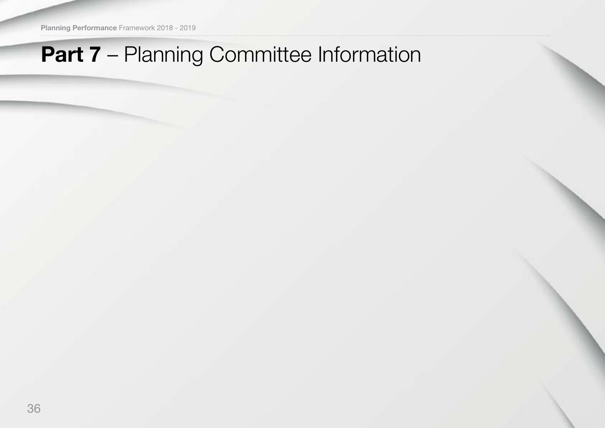**Planning Performance** Framework 2018 - 2019

## **Part 7** – Planning Committee Information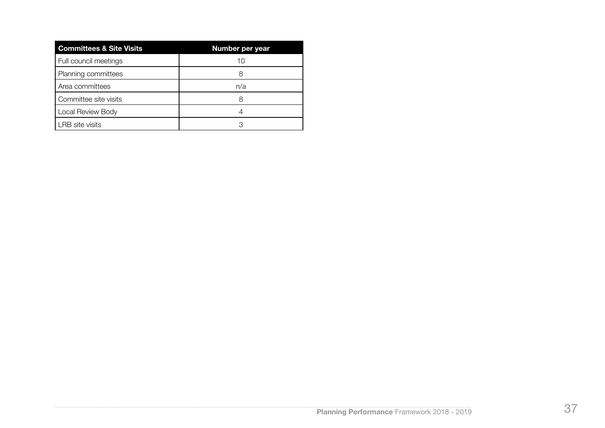| <b>Committees &amp; Site Visits</b> | Number per year |
|-------------------------------------|-----------------|
| Full council meetings               | 10              |
| Planning committees                 | 8               |
| Area committees                     | n/a             |
| Committee site visits               | 8               |
| Local Review Body                   |                 |
| LRB site visits                     |                 |